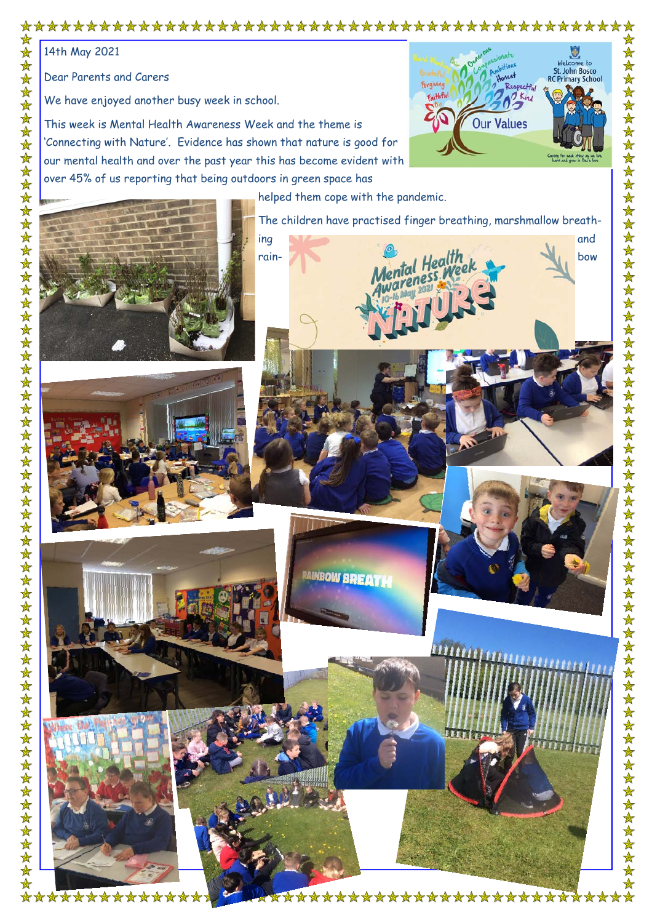## 

14th May 2021

Dear Parents and Carers

\*\*\*\*\*\*\*\*\*\*\*

We have enjoyed another busy week in school.

This week is Mental Health Awareness Week and the theme is 'Connecting with Nature'. Evidence has shown that nature is good for our mental health and over the past year this has become evident with over 45% of us reporting that being outdoors in green space has



helped them cope with the pandemic.

The children have practised finger breathing, marshmallow breath-